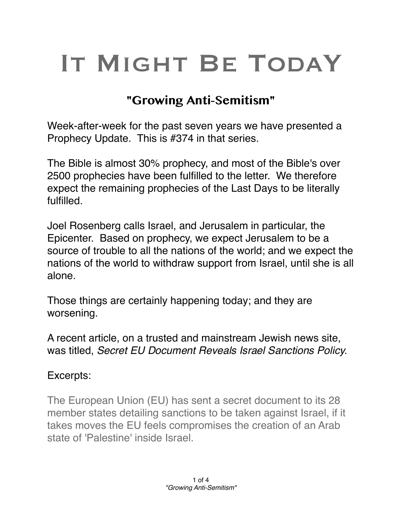# IT MIGHT BE TODAY

## **"Growing Anti-Semitism"**

Week-after-week for the past seven years we have presented a Prophecy Update. This is #374 in that series.

The Bible is almost 30% prophecy, and most of the Bible's over 2500 prophecies have been fulfilled to the letter. We therefore expect the remaining prophecies of the Last Days to be literally fulfilled.

Joel Rosenberg calls Israel, and Jerusalem in particular, the Epicenter. Based on prophecy, we expect Jerusalem to be a source of trouble to all the nations of the world; and we expect the nations of the world to withdraw support from Israel, until she is all alone.

Those things are certainly happening today; and they are worsening.

A recent article, on a trusted and mainstream Jewish news site, was titled, *Secret EU Document Reveals Israel Sanctions Policy.*

#### Excerpts:

The European Union (EU) has sent a secret document to its 28 member states detailing sanctions to be taken against Israel, if it takes moves the EU feels compromises the creation of an Arab state of 'Palestine' inside Israel.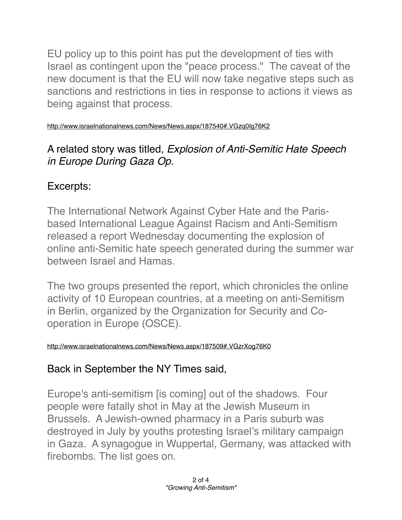EU policy up to this point has put the development of ties with Israel as contingent upon the "peace process." The caveat of the new document is that the EU will now take negative steps such as sanctions and restrictions in ties in response to actions it views as being against that process.

<http://www.israelnationalnews.com/News/News.aspx/187540#.VGzq0Ig76K2>

### A related story was titled, *Explosion of Anti-Semitic Hate Speech in Europe During Gaza Op.*

## Excerpts:

The International Network Against Cyber Hate and the Parisbased International League Against Racism and Anti-Semitism released a report Wednesday documenting the explosion of online anti-Semitic hate speech generated during the summer war between Israel and Hamas.

The two groups presented the report, which chronicles the online activity of 10 European countries, at a meeting on anti-Semitism in Berlin, organized by the Organization for Security and Cooperation in Europe (OSCE).

<http://www.israelnationalnews.com/News/News.aspx/187509#.VGzrXog76K0>

# Back in September the NY Times said,

Europe's anti-semitism [is coming] out of the shadows. Four people were fatally shot in May at the Jewish Museum in Brussels. A Jewish-owned pharmacy in a Paris suburb was destroyed in July by youths protesting Israel's military campaign in Gaza. A synagogue in Wuppertal, Germany, was attacked with firebombs. The list goes on.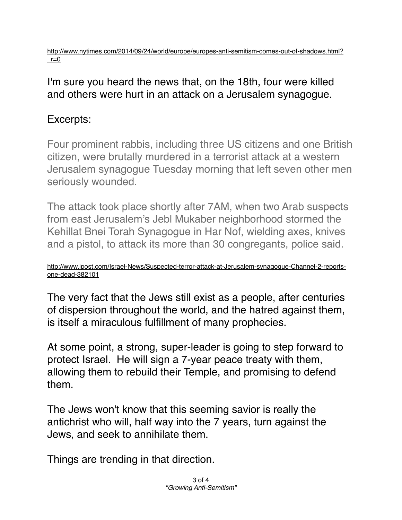[http://www.nytimes.com/2014/09/24/world/europe/europes-anti-semitism-comes-out-of-shadows.html?](http://www.nytimes.com/2014/09/24/world/europe/europes-anti-semitism-comes-out-of-shadows.html?_r=0)  $r=0$ 

#### I'm sure you heard the news that, on the 18th, four were killed and others were hurt in an attack on a Jerusalem synagogue.

#### Excerpts:

Four prominent rabbis, including three US citizens and one British citizen, were brutally murdered in a terrorist attack at a western Jerusalem synagogue Tuesday morning that left seven other men seriously wounded.

The attack took place shortly after 7AM, when two Arab suspects from east Jerusalem's Jebl Mukaber neighborhood stormed the Kehillat Bnei Torah Synagogue in Har Nof, wielding axes, knives and a pistol, to attack its more than 30 congregants, police said.

[http://www.jpost.com/Israel-News/Suspected-terror-attack-at-Jerusalem-synagogue-Channel-2-reports](http://www.jpost.com/Israel-News/Suspected-terror-attack-at-Jerusalem-synagogue-Channel-2-reports-one-dead-382101)one-dead-382101

The very fact that the Jews still exist as a people, after centuries of dispersion throughout the world, and the hatred against them, is itself a miraculous fulfillment of many prophecies.

At some point, a strong, super-leader is going to step forward to protect Israel. He will sign a 7-year peace treaty with them, allowing them to rebuild their Temple, and promising to defend them.

The Jews won't know that this seeming savior is really the antichrist who will, half way into the 7 years, turn against the Jews, and seek to annihilate them.

Things are trending in that direction.